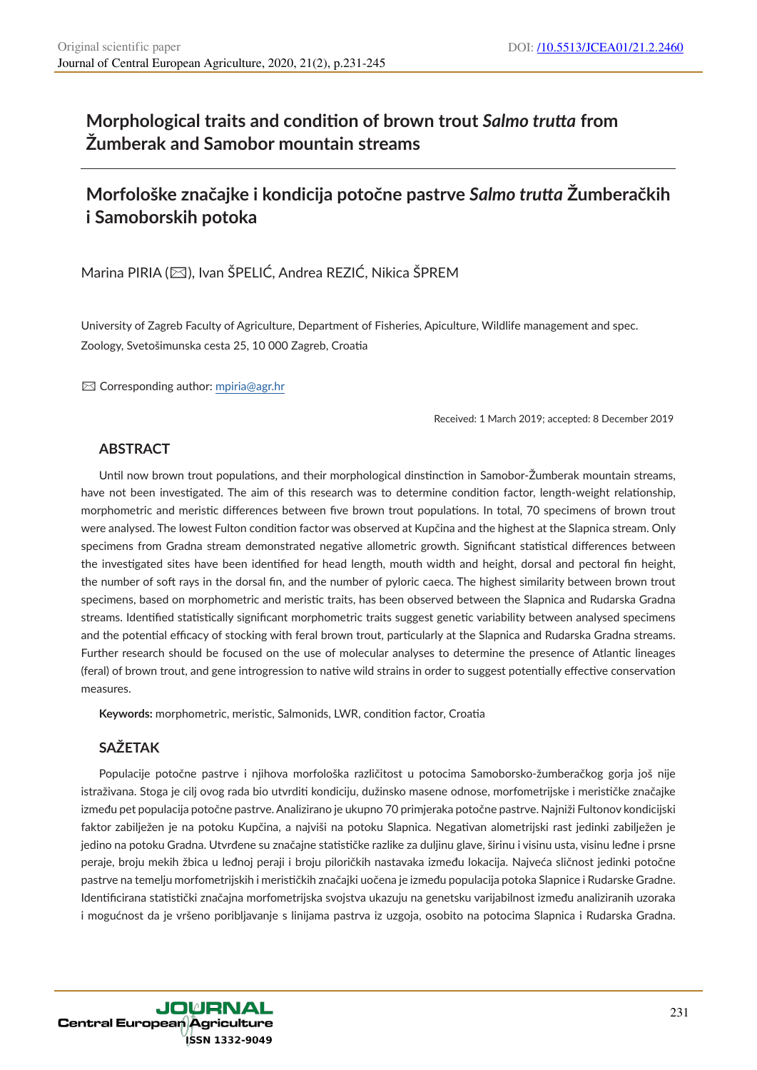# **Morphological traits and condition of brown trout** *Salmo trutta* **from Žumberak and Samobor mountain streams**

# **Morfološke značajke i kondicija potočne pastrve** *Salmo trutta* **Žumberačkih i Samoborskih potoka**

Marina PIRIA (✉), Ivan ŠPELIĆ, Andrea REZIĆ, Nikica ŠPREM

University of Zagreb Faculty of Agriculture, Department of Fisheries, Apiculture, Wildlife management and spec. Zoology, Svetošimunska cesta 25, 10 000 Zagreb, Croatia

✉ Corresponding author: mpiria@agr.hr

Received: 1 March 2019; accepted: 8 December 2019

# **ABSTRACT**

Until now brown trout populations, and their morphological dinstinction in Samobor-Žumberak mountain streams, have not been investigated. The aim of this research was to determine condition factor, length-weight relationship, morphometric and meristic differences between five brown trout populations. In total, 70 specimens of brown trout were analysed. The lowest Fulton condition factor was observed at Kupčina and the highest at the Slapnica stream. Only specimens from Gradna stream demonstrated negative allometric growth. Significant statistical differences between the investigated sites have been identified for head length, mouth width and height, dorsal and pectoral fin height, the number of soft rays in the dorsal fin, and the number of pyloric caeca. The highest similarity between brown trout specimens, based on morphometric and meristic traits, has been observed between the Slapnica and Rudarska Gradna streams. Identified statistically significant morphometric traits suggest genetic variability between analysed specimens and the potential efficacy of stocking with feral brown trout, particularly at the Slapnica and Rudarska Gradna streams. Further research should be focused on the use of molecular analyses to determine the presence of Atlantic lineages (feral) of brown trout, and gene introgression to native wild strains in order to suggest potentially effective conservation measures.

**Keywords:** morphometric, meristic, Salmonids, LWR, condition factor, Croatia

# **SAŽETAK**

Populacije potočne pastrve i njihova morfološka različitost u potocima Samoborsko-žumberačkog gorja još nije istraživana. Stoga je cilj ovog rada bio utvrditi kondiciju, dužinsko masene odnose, morfometrijske i merističke značajke između pet populacija potočne pastrve. Analizirano je ukupno 70 primjeraka potočne pastrve. Najniži Fultonov kondicijski faktor zabilježen je na potoku Kupčina, a najviši na potoku Slapnica. Negativan alometrijski rast jedinki zabilježen je jedino na potoku Gradna. Utvrđene su značajne statističke razlike za duljinu glave, širinu i visinu usta, visinu leđne i prsne peraje, broju mekih žbica u leđnoj peraji i broju piloričkih nastavaka između lokacija. Najveća sličnost jedinki potočne pastrve na temelju morfometrijskih i merističkih značajki uočena je između populacija potoka Slapnice i Rudarske Gradne. Identificirana statistički značajna morfometrijska svojstva ukazuju na genetsku varijabilnost između analiziranih uzoraka i mogućnost da je vršeno poribljavanje s linijama pastrva iz uzgoja, osobito na potocima Slapnica i Rudarska Gradna.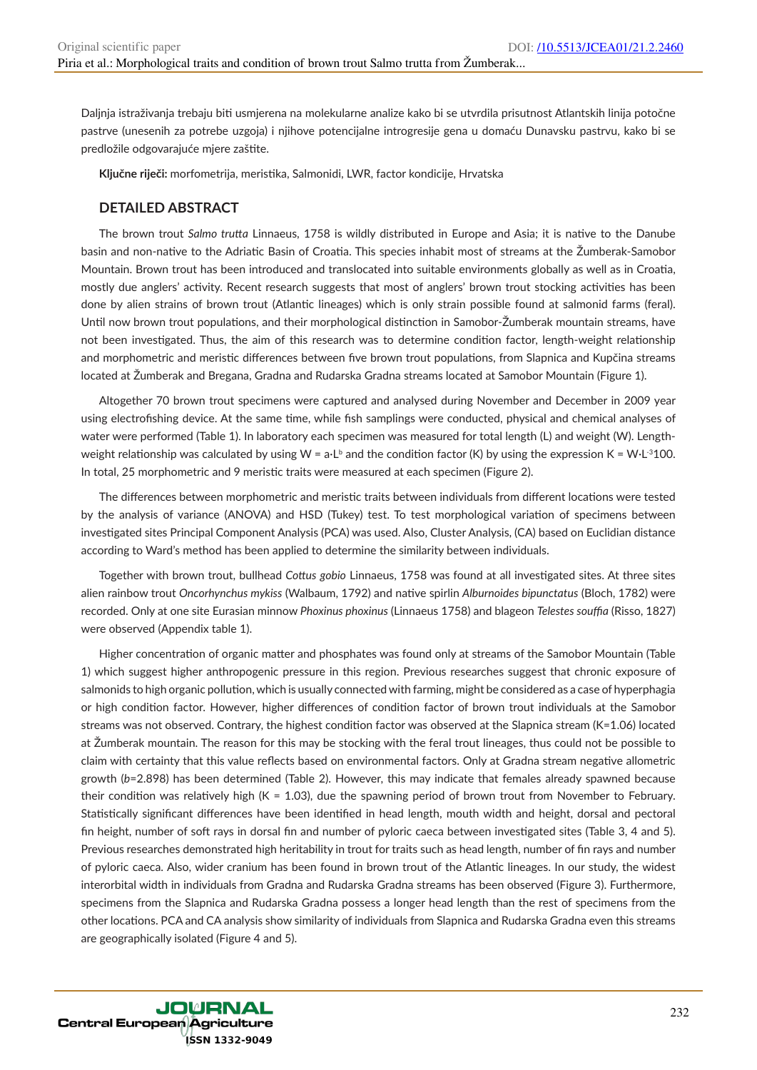Daljnja istraživanja trebaju biti usmjerena na molekularne analize kako bi se utvrdila prisutnost Atlantskih linija potočne pastrve (unesenih za potrebe uzgoja) i njihove potencijalne introgresije gena u domaću Dunavsku pastrvu, kako bi se predložile odgovarajuće mjere zaštite.

**Ključne riječi:** morfometrija, meristika, Salmonidi, LWR, factor kondicije, Hrvatska

## **DETAILED ABSTRACT**

The brown trout *Salmo trutta* Linnaeus, 1758 is wildly distributed in Europe and Asia; it is native to the Danube basin and non-native to the Adriatic Basin of Croatia. This species inhabit most of streams at the Žumberak-Samobor Mountain. Brown trout has been introduced and translocated into suitable environments globally as well as in Croatia, mostly due anglers' activity. Recent research suggests that most of anglers' brown trout stocking activities has been done by alien strains of brown trout (Atlantic lineages) which is only strain possible found at salmonid farms (feral). Until now brown trout populations, and their morphological distinction in Samobor-Žumberak mountain streams, have not been investigated. Thus, the aim of this research was to determine condition factor, length-weight relationship and morphometric and meristic differences between five brown trout populations, from Slapnica and Kupčina streams located at Žumberak and Bregana, Gradna and Rudarska Gradna streams located at Samobor Mountain (Figure 1).

Altogether 70 brown trout specimens were captured and analysed during November and December in 2009 year using electrofishing device. At the same time, while fish samplings were conducted, physical and chemical analyses of water were performed (Table 1). In laboratory each specimen was measured for total length (L) and weight (W). Lengthweight relationship was calculated by using W = a∙Lb and the condition factor (K) by using the expression K = W∙L-3100. In total, 25 morphometric and 9 meristic traits were measured at each specimen (Figure 2).

The differences between morphometric and meristic traits between individuals from different locations were tested by the analysis of variance (ANOVA) and HSD (Tukey) test. To test morphological variation of specimens between investigated sites Principal Component Analysis (PCA) was used. Also, Cluster Analysis, (CA) based on Euclidian distance according to Ward's method has been applied to determine the similarity between individuals.

Together with brown trout, bullhead *Cottus gobio* Linnaeus, 1758 was found at all investigated sites. At three sites alien rainbow trout *Oncorhynchus mykiss* (Walbaum, 1792) and native spirlin *Alburnoides bipunctatus* (Bloch, 1782) were recorded. Only at one site Eurasian minnow *Phoxinus phoxinus* (Linnaeus 1758) and blageon *Telestes souffia* (Risso, 1827) were observed (Appendix table 1).

Higher concentration of organic matter and phosphates was found only at streams of the Samobor Mountain (Table 1) which suggest higher anthropogenic pressure in this region. Previous researches suggest that chronic exposure of salmonids to high organic pollution, which is usually connected with farming, might be considered as a case of hyperphagia or high condition factor. However, higher differences of condition factor of brown trout individuals at the Samobor streams was not observed. Contrary, the highest condition factor was observed at the Slapnica stream (K=1.06) located at Žumberak mountain. The reason for this may be stocking with the feral trout lineages, thus could not be possible to claim with certainty that this value reflects based on environmental factors. Only at Gradna stream negative allometric growth (*b*=2.898) has been determined (Table 2). However, this may indicate that females already spawned because their condition was relatively high  $(K = 1.03)$ , due the spawning period of brown trout from November to February. Statistically significant differences have been identified in head length, mouth width and height, dorsal and pectoral fin height, number of soft rays in dorsal fin and number of pyloric caeca between investigated sites (Table 3, 4 and 5). Previous researches demonstrated high heritability in trout for traits such as head length, number of fin rays and number of pyloric caeca. Also, wider cranium has been found in brown trout of the Atlantic lineages. In our study, the widest interorbital width in individuals from Gradna and Rudarska Gradna streams has been observed (Figure 3). Furthermore, specimens from the Slapnica and Rudarska Gradna possess a longer head length than the rest of specimens from the other locations. PCA and CA analysis show similarity of individuals from Slapnica and Rudarska Gradna even this streams are geographically isolated (Figure 4 and 5).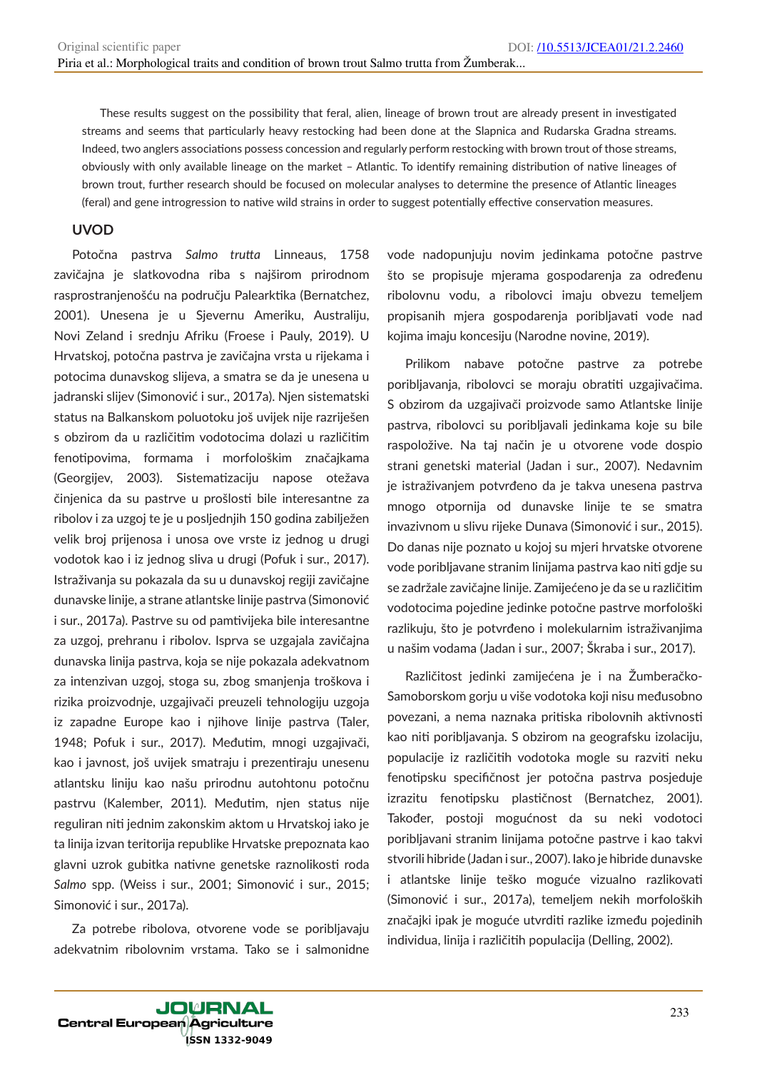These results suggest on the possibility that feral, alien, lineage of brown trout are already present in investigated streams and seems that particularly heavy restocking had been done at the Slapnica and Rudarska Gradna streams. Indeed, two anglers associations possess concession and regularly perform restocking with brown trout of those streams, obviously with only available lineage on the market – Atlantic. To identify remaining distribution of native lineages of brown trout, further research should be focused on molecular analyses to determine the presence of Atlantic lineages (feral) and gene introgression to native wild strains in order to suggest potentially effective conservation measures.

## **UVOD**

Potočna pastrva *Salmo trutta* Linneaus, 1758 zavičajna je slatkovodna riba s najširom prirodnom rasprostranjenošću na području Palearktika (Bernatchez, 2001). Unesena je u Sjevernu Ameriku, Australiju, Novi Zeland i srednju Afriku (Froese i Pauly, 2019). U Hrvatskoj, potočna pastrva je zavičajna vrsta u rijekama i potocima dunavskog slijeva, a smatra se da je unesena u jadranski slijev (Simonović i sur., 2017a). Njen sistematski status na Balkanskom poluotoku još uvijek nije razriješen s obzirom da u različitim vodotocima dolazi u različitim fenotipovima, formama i morfološkim značajkama (Georgijev, 2003). Sistematizaciju napose otežava činjenica da su pastrve u prošlosti bile interesantne za ribolov i za uzgoj te je u posljednjih 150 godina zabilježen velik broj prijenosa i unosa ove vrste iz jednog u drugi vodotok kao i iz jednog sliva u drugi (Pofuk i sur., 2017). Istraživanja su pokazala da su u dunavskoj regiji zavičajne dunavske linije, a strane atlantske linije pastrva (Simonović i sur., 2017a). Pastrve su od pamtivijeka bile interesantne za uzgoj, prehranu i ribolov. Isprva se uzgajala zavičajna dunavska linija pastrva, koja se nije pokazala adekvatnom za intenzivan uzgoj, stoga su, zbog smanjenja troškova i rizika proizvodnje, uzgajivači preuzeli tehnologiju uzgoja iz zapadne Europe kao i njihove linije pastrva (Taler, 1948; Pofuk i sur., 2017). Međutim, mnogi uzgajivači, kao i javnost, još uvijek smatraju i prezentiraju unesenu atlantsku liniju kao našu prirodnu autohtonu potočnu pastrvu (Kalember, 2011). Međutim, njen status nije reguliran niti jednim zakonskim aktom u Hrvatskoj iako je ta linija izvan teritorija republike Hrvatske prepoznata kao glavni uzrok gubitka nativne genetske raznolikosti roda *Salmo* spp. (Weiss i sur., 2001; Simonović i sur., 2015; Simonović i sur., 2017a).

Za potrebe ribolova, otvorene vode se poribljavaju adekvatnim ribolovnim vrstama. Tako se i salmonidne vode nadopunjuju novim jedinkama potočne pastrve što se propisuje mjerama gospodarenja za određenu ribolovnu vodu, a ribolovci imaju obvezu temeljem propisanih mjera gospodarenja poribljavati vode nad kojima imaju koncesiju (Narodne novine, 2019).

Prilikom nabave potočne pastrve za potrebe poribljavanja, ribolovci se moraju obratiti uzgajivačima. S obzirom da uzgajivači proizvode samo Atlantske linije pastrva, ribolovci su poribljavali jedinkama koje su bile raspoložive. Na taj način je u otvorene vode dospio strani genetski material (Jadan i sur., 2007). Nedavnim je istraživanjem potvrđeno da je takva unesena pastrva mnogo otpornija od dunavske linije te se smatra invazivnom u slivu rijeke Dunava (Simonović i sur., 2015). Do danas nije poznato u kojoj su mjeri hrvatske otvorene vode poribljavane stranim linijama pastrva kao niti gdje su se zadržale zavičajne linije. Zamijećeno je da se u različitim vodotocima pojedine jedinke potočne pastrve morfološki razlikuju, što je potvrđeno i molekularnim istraživanjima u našim vodama (Jadan i sur., 2007; Škraba i sur., 2017).

Različitost jedinki zamijećena je i na Žumberačko-Samoborskom gorju u više vodotoka koji nisu međusobno povezani, a nema naznaka pritiska ribolovnih aktivnosti kao niti poribljavanja. S obzirom na geografsku izolaciju, populacije iz različitih vodotoka mogle su razviti neku fenotipsku specifičnost jer potočna pastrva posjeduje izrazitu fenotipsku plastičnost (Bernatchez, 2001). Također, postoji mogućnost da su neki vodotoci poribljavani stranim linijama potočne pastrve i kao takvi stvorili hibride (Jadan i sur., 2007). Iako je hibride dunavske i atlantske linije teško moguće vizualno razlikovati (Simonović i sur., 2017a), temeljem nekih morfoloških značajki ipak je moguće utvrditi razlike između pojedinih individua, linija i različitih populacija (Delling, 2002).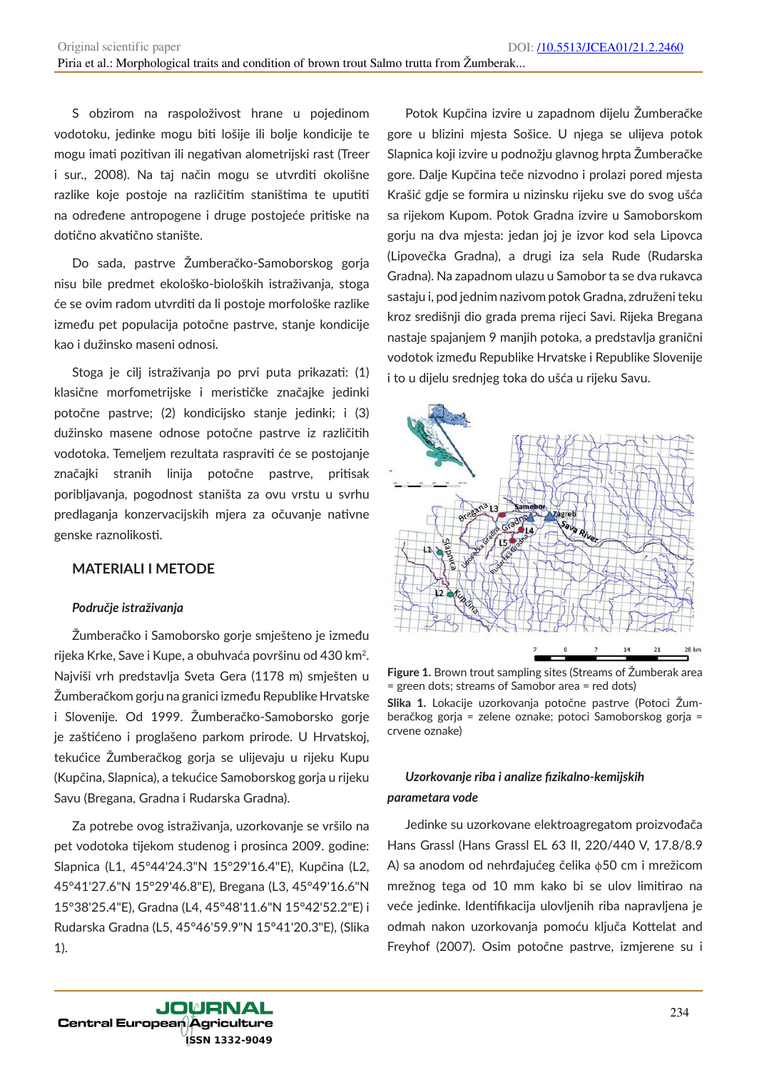S obzirom na raspoloživost hrane u pojedinom vodotoku, jedinke mogu biti lošije ili bolje kondicije te mogu imati pozitivan ili negativan alometrijski rast (Treer i sur., 2008). Na taj način mogu se utvrditi okolišne razlike koje postoje na različitim staništima te uputiti na određene antropogene i druge postojeće pritiske na dotično akvatično stanište.

Do sada, pastrve Žumberačko-Samoborskog gorja nisu bile predmet ekološko-bioloških istraživanja, stoga će se ovim radom utvrditi da li postoje morfološke razlike između pet populacija potočne pastrve, stanje kondicije kao i dužinsko maseni odnosi.

Stoga je cilj istraživanja po prvi puta prikazati: (1) klasične morfometrijske i merističke značajke jedinki potočne pastrve; (2) kondicijsko stanje jedinki; i (3) dužinsko masene odnose potočne pastrve iz različitih vodotoka. Temeljem rezultata raspraviti će se postojanje značajki stranih linija potočne pastrve, pritisak poribljavanja, pogodnost staništa za ovu vrstu u svrhu predlaganja konzervacijskih mjera za očuvanje nativne genske raznolikosti.

#### **MATERIALI I METODE**

#### *Područje istraživanja*

Žumberačko i Samoborsko gorje smješteno je između rijeka Krke, Save i Kupe, a obuhvaća površinu od 430 km2. Najviši vrh predstavlja Sveta Gera (1178 m) smješten u Žumberačkom gorju na granici između Republike Hrvatske i Slovenije. Od 1999. Žumberačko-Samoborsko gorje je zaštićeno i proglašeno parkom prirode. U Hrvatskoj, tekućice Žumberačkog gorja se ulijevaju u rijeku Kupu (Kupčina, Slapnica), a tekućice Samoborskog gorja u rijeku Savu (Bregana, Gradna i Rudarska Gradna).

Za potrebe ovog istraživanja, uzorkovanje se vršilo na pet vodotoka tijekom studenog i prosinca 2009. godine: Slapnica (L1, 45°44'24.3"N 15°29'16.4"E), Kupčina (L2, 45°41'27.6"N 15°29'46.8"E), Bregana (L3, 45°49'16.6"N 15°38'25.4"E), Gradna (L4, 45°48'11.6"N 15°42'52.2"E) i Rudarska Gradna (L5, 45°46'59.9"N 15°41'20.3"E), (Slika 1).

Potok Kupčina izvire u zapadnom dijelu Žumberačke gore u blizini mjesta Sošice. U njega se ulijeva potok Slapnica koji izvire u podnožju glavnog hrpta Žumberačke gore. Dalje Kupčina teče nizvodno i prolazi pored mjesta Krašić gdje se formira u nizinsku rijeku sve do svog ušća sa rijekom Kupom. Potok Gradna izvire u Samoborskom gorju na dva mjesta: jedan joj je izvor kod sela Lipovca (Lipovečka Gradna), a drugi iza sela Rude (Rudarska Gradna). Na zapadnom ulazu u Samobor ta se dva rukavca sastaju i, pod jednim nazivom potok Gradna, združeni teku kroz središnji dio grada prema rijeci Savi. Rijeka Bregana nastaje spajanjem 9 manjih potoka, a predstavlja granični vodotok između Republike Hrvatske i Republike Slovenije i to u dijelu srednjeg toka do ušća u rijeku Savu.



**Figure 1.** Brown trout sampling sites (Streams of Žumberak area = green dots; streams of Samobor area = red dots)

**Slika 1.** Lokacije uzorkovanja potočne pastrve (Potoci Žumberačkog gorja = zelene oznake; potoci Samoborskog gorja = crvene oznake)

# *Uzorkovanje riba i analize fizikalno-kemijskih parametara vode*

Jedinke su uzorkovane elektroagregatom proizvođača Hans Grassl (Hans Grassl EL 63 II, 220/440 V, 17.8/8.9 A) sa anodom od nehrđajućeg čelika ϕ50 cm i mrežicom mrežnog tega od 10 mm kako bi se ulov limitirao na veće jedinke. Identifikacija ulovljenih riba napravljena je odmah nakon uzorkovanja pomoću ključa Kottelat and Freyhof (2007). Osim potočne pastrve, izmjerene su i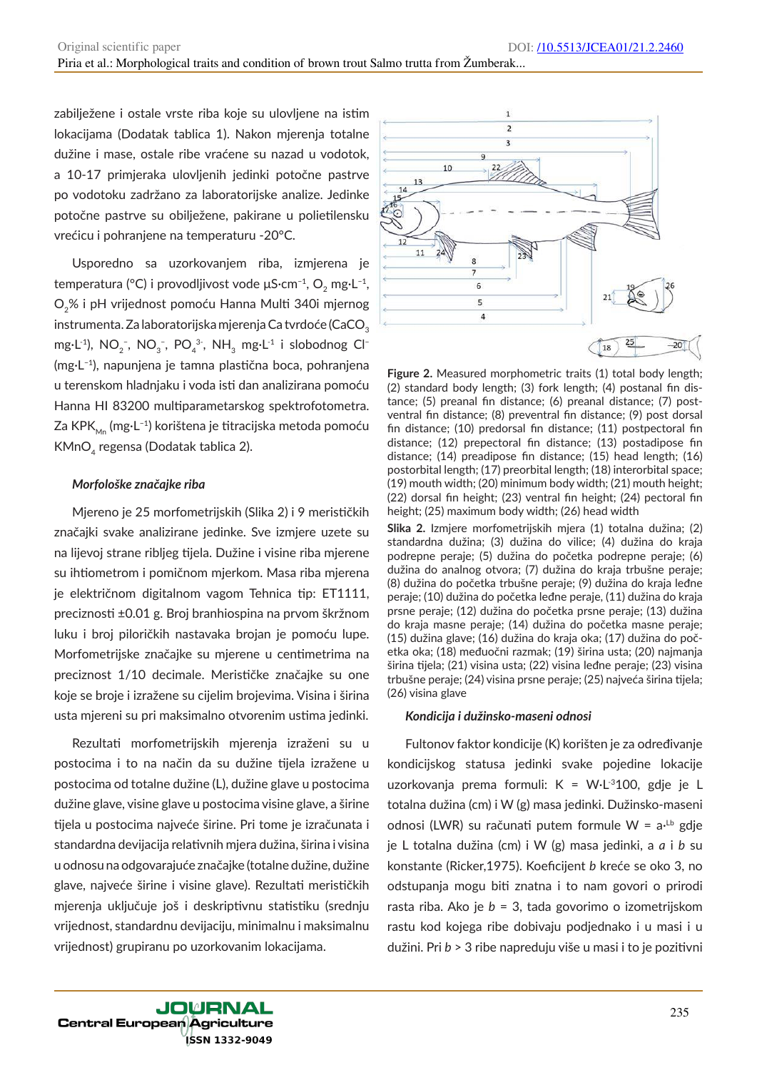zabilježene i ostale vrste riba koje su ulovljene na istim lokacijama (Dodatak tablica 1). Nakon mjerenja totalne dužine i mase, ostale ribe vraćene su nazad u vodotok, a 10-17 primjeraka ulovljenih jedinki potočne pastrve po vodotoku zadržano za laboratorijske analize. Jedinke potočne pastrve su obilježene, pakirane u polietilensku vrećicu i pohranjene na temperaturu -20°C.

Usporedno sa uzorkovanjem riba, izmjerena je temperatura (°C) i provodljivost vode μS⋅cm<sup>-1</sup>, O<sub>2</sub> mg⋅L<sup>-1</sup>, O2% i pH vrijednost pomoću Hanna Multi 340i mjernog instrumenta. Za laboratorijska mjerenja Ca tvrdoće (CaCO $_3$ mg∙L<sup>-1</sup>), NO<sub>2</sub><sup>-</sup>, NO<sub>3</sub><sup>-</sup>, PO<sub>4</sub><sup>3-</sup>, NH<sub>3</sub> mg∙L<sup>-1</sup> i slobodnog Cl<sup>-</sup> (mg∙L−1), napunjena je tamna plastična boca, pohranjena u terenskom hladnjaku i voda isti dan analizirana pomoću Hanna HI 83200 multiparametarskog spektrofotometra. Za KPK<sub>Ma</sub> (mg∙L<sup>−1</sup>) korištena je titracijska metoda pomoću KMnO4 regensa (Dodatak tablica 2).

#### *Morfološke značajke riba*

Mjereno je 25 morfometrijskih (Slika 2) i 9 merističkih značajki svake analizirane jedinke. Sve izmjere uzete su na lijevoj strane ribljeg tijela. Dužine i visine riba mjerene su ihtiometrom i pomičnom mjerkom. Masa riba mjerena je električnom digitalnom vagom Tehnica tip: ET1111, preciznosti ±0.01 g. Broj branhiospina na prvom škržnom luku i broj piloričkih nastavaka brojan je pomoću lupe. Morfometrijske značajke su mjerene u centimetrima na preciznost 1/10 decimale. Merističke značajke su one koje se broje i izražene su cijelim brojevima. Visina i širina usta mjereni su pri maksimalno otvorenim ustima jedinki.

Rezultati morfometrijskih mjerenja izraženi su u postocima i to na način da su dužine tijela izražene u postocima od totalne dužine (L), dužine glave u postocima dužine glave, visine glave u postocima visine glave, a širine tijela u postocima najveće širine. Pri tome je izračunata i standardna devijacija relativnih mjera dužina, širina i visina u odnosu na odgovarajuće značajke (totalne dužine, dužine glave, najveće širine i visine glave). Rezultati merističkih mjerenja uključuje još i deskriptivnu statistiku (srednju vrijednost, standardnu devijaciju, minimalnu i maksimalnu vrijednost) grupiranu po uzorkovanim lokacijama.



**Figure 2.** Measured morphometric traits (1) total body length; (2) standard body length; (3) fork length; (4) postanal fin distance; (5) preanal fin distance; (6) preanal distance; (7) postventral fin distance; (8) preventral fin distance; (9) post dorsal fin distance; (10) predorsal fin distance; (11) postpectoral fin distance; (12) prepectoral fin distance; (13) postadipose fin distance; (14) preadipose fin distance; (15) head length; (16) postorbital length; (17) preorbital length; (18) interorbital space; (19) mouth width; (20) minimum body width; (21) mouth height; (22) dorsal fin height; (23) ventral fin height; (24) pectoral fin height; (25) maximum body width; (26) head width

**Slika 2.** Izmjere morfometrijskih mjera (1) totalna dužina; (2) standardna dužina; (3) dužina do vilice; (4) dužina do kraja podrepne peraje; (5) dužina do početka podrepne peraje; (6) dužina do analnog otvora; (7) dužina do kraja trbušne peraje; (8) dužina do početka trbušne peraje; (9) dužina do kraja leđne peraje; (10) dužina do početka leđne peraje, (11) dužina do kraja prsne peraje; (12) dužina do početka prsne peraje; (13) dužina do kraja masne peraje; (14) dužina do početka masne peraje; (15) dužina glave; (16) dužina do kraja oka; (17) dužina do početka oka; (18) međuočni razmak; (19) širina usta; (20) najmanja širina tijela; (21) visina usta; (22) visina leđne peraje; (23) visina trbušne peraje; (24) visina prsne peraje; (25) najveća širina tijela; (26) visina glave

#### *Kondicija i dužinsko-maseni odnosi*

Fultonov faktor kondicije (K) korišten je za određivanje kondicijskog statusa jedinki svake pojedine lokacije uzorkovanja prema formuli: K = W∙L-3100, gdje je L totalna dužina (cm) i W (g) masa jedinki. Dužinsko-maseni odnosi (LWR) su računati putem formule W = a∙Lb gdje je L totalna dužina (cm) i W (g) masa jedinki, a *a* i *b* su konstante (Ricker,1975). Koeficijent *b* kreće se oko 3, no odstupanja mogu biti znatna i to nam govori o prirodi rasta riba. Ako je *b* = 3, tada govorimo o izometrijskom rastu kod kojega ribe dobivaju podjednako i u masi i u dužini. Pri *b* > 3 ribe napreduju više u masi i to je pozitivni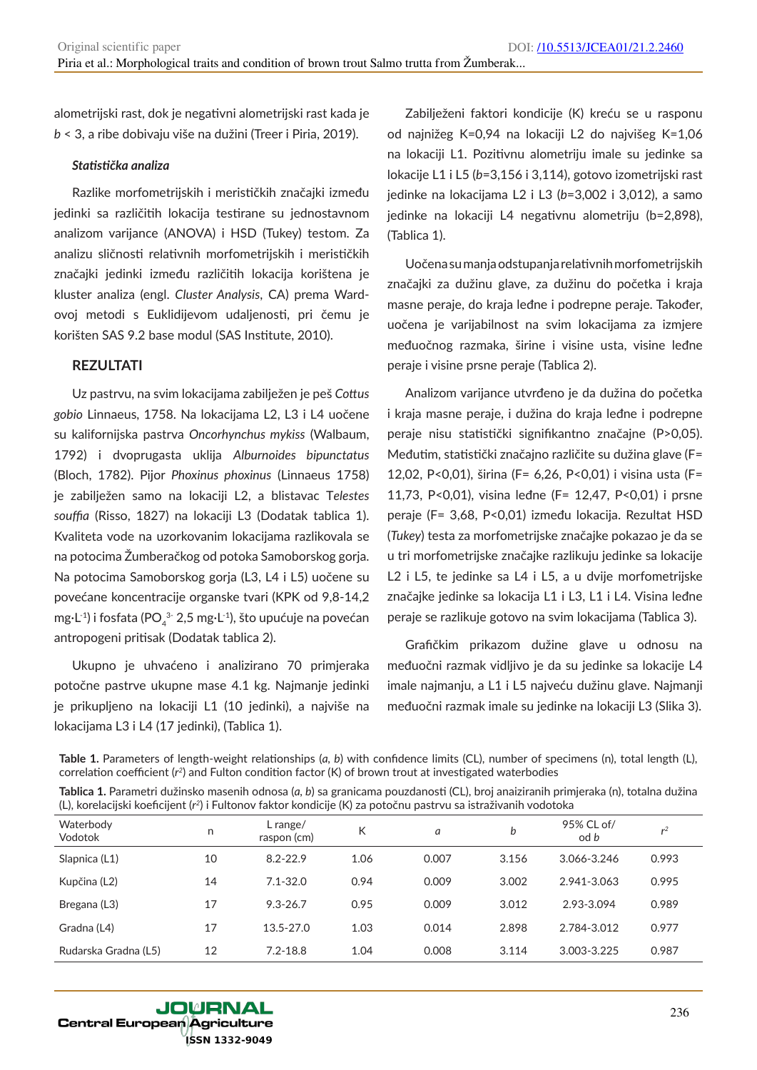alometrijski rast, dok je negativni alometrijski rast kada je *b* < 3, a ribe dobivaju više na dužini (Treer i Piria, 2019).

#### *Statistička analiza*

Razlike morfometrijskih i merističkih značajki između jedinki sa različitih lokacija testirane su jednostavnom analizom varijance (ANOVA) i HSD (Tukey) testom. Za analizu sličnosti relativnih morfometrijskih i merističkih značajki jedinki između različitih lokacija korištena je kluster analiza (engl. *Cluster Analysis*, CA) prema Wardovoj metodi s Euklidijevom udaljenosti, pri čemu je korišten SAS 9.2 base modul (SAS Institute, 2010).

### **REZULTATI**

Uz pastrvu, na svim lokacijama zabilježen je peš *Cottus gobio* Linnaeus, 1758. Na lokacijama L2, L3 i L4 uočene su kalifornijska pastrva *Oncorhynchus mykiss* (Walbaum, 1792) i dvoprugasta uklija *Alburnoides bipunctatus*  (Bloch, 1782). Pijor *Phoxinus phoxinus* (Linnaeus 1758) je zabilježen samo na lokaciji L2, a blistavac T*elestes souffia* (Risso, 1827) na lokaciji L3 (Dodatak tablica 1). Kvaliteta vode na uzorkovanim lokacijama razlikovala se na potocima Žumberačkog od potoka Samoborskog gorja. Na potocima Samoborskog gorja (L3, L4 i L5) uočene su povećane koncentracije organske tvari (KPK od 9,8-14,2 mg∙L<sup>-1</sup>) i fosfata (PO<sub>4</sub><sup>3-</sup> 2,5 mg∙L<sup>-1</sup>), što upućuje na povećan antropogeni pritisak (Dodatak tablica 2).

Ukupno je uhvaćeno i analizirano 70 primjeraka potočne pastrve ukupne mase 4.1 kg. Najmanje jedinki je prikupljeno na lokaciji L1 (10 jedinki), a najviše na lokacijama L3 i L4 (17 jedinki), (Tablica 1).

Zabilježeni faktori kondicije (K) kreću se u rasponu od najnižeg K=0,94 na lokaciji L2 do najvišeg K=1,06 na lokaciji L1. Pozitivnu alometriju imale su jedinke sa lokacije L1 i L5 (*b*=3,156 i 3,114), gotovo izometrijski rast jedinke na lokacijama L2 i L3 (*b*=3,002 i 3,012), a samo jedinke na lokaciji L4 negativnu alometriju (b=2,898), (Tablica 1).

Uočena su manja odstupanja relativnih morfometrijskih značajki za dužinu glave, za dužinu do početka i kraja masne peraje, do kraja leđne i podrepne peraje. Također, uočena je varijabilnost na svim lokacijama za izmjere međuočnog razmaka, širine i visine usta, visine leđne peraje i visine prsne peraje (Tablica 2).

Analizom varijance utvrđeno je da dužina do početka i kraja masne peraje, i dužina do kraja leđne i podrepne peraje nisu statistički signifikantno značajne (P>0,05). Međutim, statistički značajno različite su dužina glave (F= 12,02, P<0,01), širina (F= 6,26, P<0,01) i visina usta (F= 11,73, P<0,01), visina leđne (F= 12,47, P<0,01) i prsne peraje (F= 3,68, P<0,01) između lokacija. Rezultat HSD (*Tukey*) testa za morfometrijske značajke pokazao je da se u tri morfometrijske značajke razlikuju jedinke sa lokacije L2 i L5, te jedinke sa L4 i L5, a u dvije morfometrijske značajke jedinke sa lokacija L1 i L3, L1 i L4. Visina leđne peraje se razlikuje gotovo na svim lokacijama (Tablica 3).

Grafičkim prikazom dužine glave u odnosu na međuočni razmak vidljivo je da su jedinke sa lokacije L4 imale najmanju, a L1 i L5 najveću dužinu glave. Najmanji međuočni razmak imale su jedinke na lokaciji L3 (Slika 3).

**Table 1.** Parameters of length-weight relationships (*a, b*) with confidence limits (CL), number of specimens (n), total length (L), correlation coefficient (*r2*) and Fulton condition factor (K) of brown trout at investigated waterbodies

**Tablica 1.** Parametri dužinsko masenih odnosa (*a, b*) sa granicama pouzdanosti (CL), broj anaiziranih primjeraka (n), totalna dužina (L), korelacijski koeficijent (*r2*) i Fultonov faktor kondicije (K) za potočnu pastrvu sa istraživanih vodotoka

| Waterbody<br>Vodotok | n  | $L$ range/<br>raspon (cm) | К    | a     | b     | 95% CL of/<br>od b | r <sup>2</sup> |
|----------------------|----|---------------------------|------|-------|-------|--------------------|----------------|
| Slapnica (L1)        | 10 | $8.2 - 22.9$              | 1.06 | 0.007 | 3.156 | 3.066-3.246        | 0.993          |
| Kupčina (L2)         | 14 | $7.1 - 32.0$              | 0.94 | 0.009 | 3.002 | 2.941-3.063        | 0.995          |
| Bregana (L3)         | 17 | $9.3 - 26.7$              | 0.95 | 0.009 | 3.012 | 2.93-3.094         | 0.989          |
| Gradna (L4)          | 17 | 13.5-27.0                 | 1.03 | 0.014 | 2.898 | 2.784-3.012        | 0.977          |
| Rudarska Gradna (L5) | 12 | $7.2 - 18.8$              | 1.04 | 0.008 | 3.114 | 3.003-3.225        | 0.987          |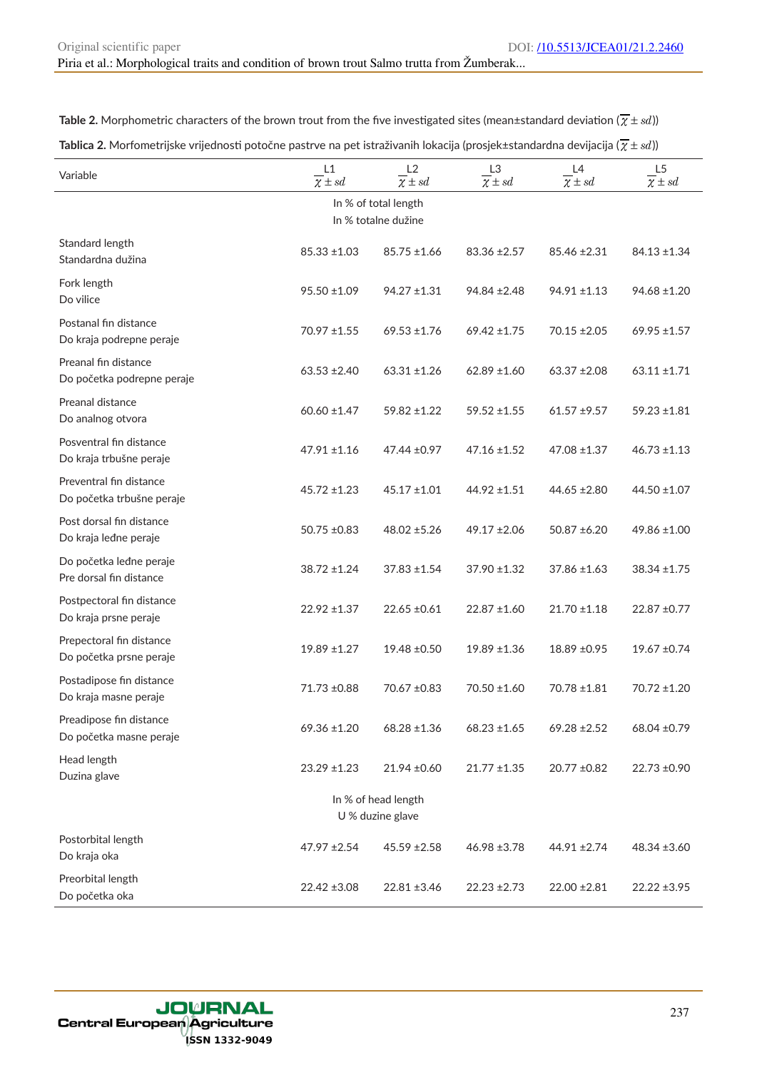**Table 2.** Morphometric characters of the brown trout from the five investigated sites (mean±standard deviation ( $\overline{\chi}$  ±  $sd$ ))

| Variable                                             | L1<br>$\overline{\chi} \pm sd$ | L2<br>$\overline{\chi} \pm sd$ | L <sub>3</sub><br>$\overline{\chi} \pm sd$ | L4<br>$\overline{\chi} \pm sd$ | L <sub>5</sub><br>$\overline{\chi} \pm sd$ |  |  |  |  |
|------------------------------------------------------|--------------------------------|--------------------------------|--------------------------------------------|--------------------------------|--------------------------------------------|--|--|--|--|
| In % of total length<br>In % totalne dužine          |                                |                                |                                            |                                |                                            |  |  |  |  |
| Standard length<br>Standardna dužina                 | $85.33 \pm 1.03$               | $85.75 \pm 1.66$               | $83.36 \pm 2.57$                           | 85.46 ±2.31                    | 84.13 ±1.34                                |  |  |  |  |
| Fork length<br>Do vilice                             | $95.50 \pm 1.09$               | $94.27 \pm 1.31$               | $94.84 \pm 2.48$                           | $94.91 \pm 1.13$               | $94.68 \pm 1.20$                           |  |  |  |  |
| Postanal fin distance<br>Do kraja podrepne peraje    | 70.97 ±1.55                    | $69.53 \pm 1.76$               | $69.42 \pm 1.75$                           | $70.15 \pm 2.05$               | $69.95 \pm 1.57$                           |  |  |  |  |
| Preanal fin distance<br>Do početka podrepne peraje   | $63.53 \pm 2.40$               | $63.31 \pm 1.26$               | $62.89 \pm 1.60$                           | $63.37 \pm 2.08$               | $63.11 \pm 1.71$                           |  |  |  |  |
| Preanal distance<br>Do analnog otvora                | $60.60 \pm 1.47$               | $59.82 \pm 1.22$               | $59.52 \pm 1.55$                           | $61.57 + 9.57$                 | $59.23 \pm 1.81$                           |  |  |  |  |
| Posventral fin distance<br>Do kraja trbušne peraje   | $47.91 \pm 1.16$               | 47.44 ±0.97                    | $47.16 \pm 1.52$                           | 47.08 ±1.37                    | $46.73 \pm 1.13$                           |  |  |  |  |
| Preventral fin distance<br>Do početka trbušne peraje | $45.72 \pm 1.23$               | $45.17 \pm 1.01$               | $44.92 \pm 1.51$                           | $44.65 \pm 2.80$               | $44.50 \pm 1.07$                           |  |  |  |  |
| Post dorsal fin distance<br>Do kraja leđne peraje    | $50.75 \pm 0.83$               | $48.02 \pm 5.26$               | $49.17 \pm 2.06$                           | $50.87 \pm 6.20$               | 49.86 ±1.00                                |  |  |  |  |
| Do početka leđne peraje<br>Pre dorsal fin distance   | $38.72 \pm 1.24$               | $37.83 \pm 1.54$               | $37.90 \pm 1.32$                           | $37.86 \pm 1.63$               | $38.34 \pm 1.75$                           |  |  |  |  |
| Postpectoral fin distance<br>Do kraja prsne peraje   | $22.92 \pm 1.37$               | $22.65 \pm 0.61$               | $22.87 \pm 1.60$                           | $21.70 \pm 1.18$               | $22.87 \pm 0.77$                           |  |  |  |  |
| Prepectoral fin distance<br>Do početka prsne peraje  | $19.89 \pm 1.27$               | 19.48 ±0.50                    | $19.89 \pm 1.36$                           | 18.89 ±0.95                    | $19.67 \pm 0.74$                           |  |  |  |  |
| Postadipose fin distance<br>Do kraja masne peraje    | 71.73 ±0.88                    | 70.67 ±0.83                    | $70.50 \pm 1.60$                           | 70.78 ±1.81                    | 70.72 ±1.20                                |  |  |  |  |
| Preadipose fin distance<br>Do početka masne peraje   | 69.36 ±1.20                    | $68.28 \pm 1.36$               | $68.23 \pm 1.65$                           | $69.28 \pm 2.52$               | 68.04 ±0.79                                |  |  |  |  |
| Head length<br>Duzina glave                          | $23.29 \pm 1.23$               | $21.94 \pm 0.60$               | $21.77 \pm 1.35$                           | $20.77 \pm 0.82$               | 22.73 ±0.90                                |  |  |  |  |
| In % of head length<br>U % duzine glave              |                                |                                |                                            |                                |                                            |  |  |  |  |
| Postorbital length                                   |                                |                                |                                            |                                |                                            |  |  |  |  |
| Do kraja oka                                         | $47.97 \pm 2.54$               | $45.59 \pm 2.58$               | $46.98 \pm 3.78$                           | $44.91 \pm 2.74$               | 48.34 ±3.60                                |  |  |  |  |
| Preorbital length<br>Do početka oka                  | $22.42 \pm 3.08$               | $22.81 \pm 3.46$               | $22.23 \pm 2.73$                           | $22.00 \pm 2.81$               | $22.22 \pm 3.95$                           |  |  |  |  |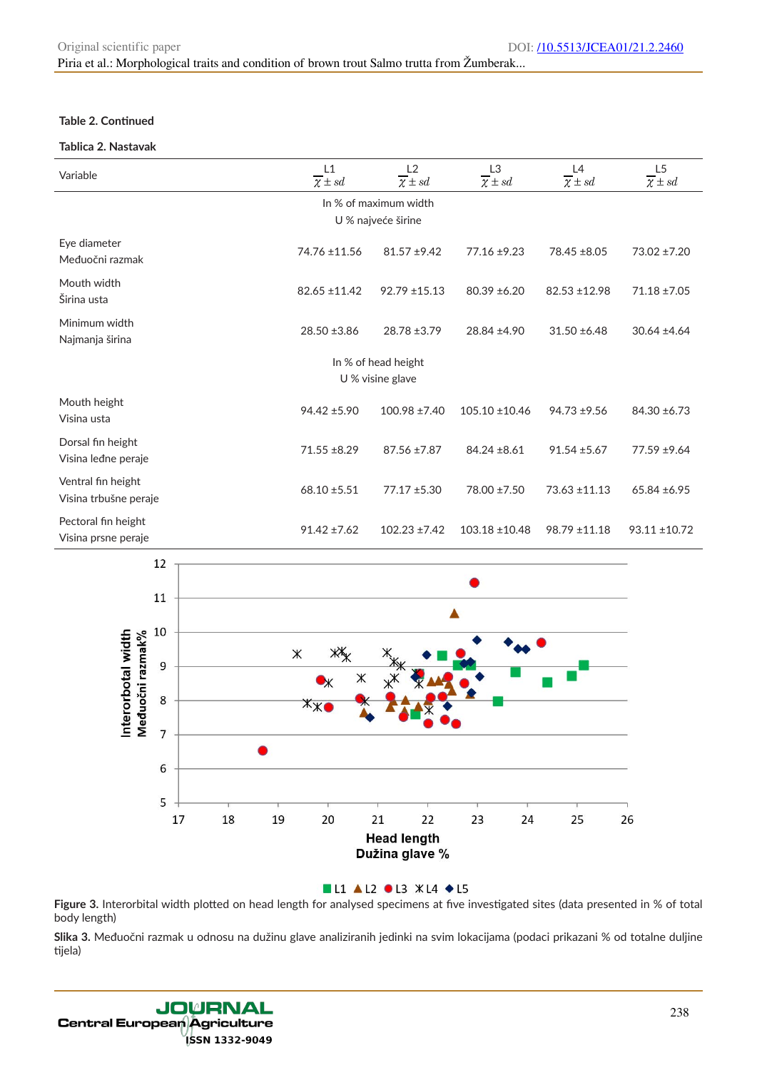#### **Table 2. Continued**

#### **Tablica 2. Nastavak**

| Variable                                    | L1<br>$\overline{\chi} \pm sd$ | L2<br>$\overline{\chi} \pm sd$ | L <sub>3</sub><br>$\overline{\chi} \pm sd$ | L4<br>$\overline{\chi} \pm sd$ | L <sub>5</sub><br>$\overline{\chi} \pm sd$ |  |  |  |  |
|---------------------------------------------|--------------------------------|--------------------------------|--------------------------------------------|--------------------------------|--------------------------------------------|--|--|--|--|
| In % of maximum width<br>U % najveće širine |                                |                                |                                            |                                |                                            |  |  |  |  |
| Eye diameter<br>Međuočni razmak             | 74.76 ±11.56                   | $81.57 + 9.42$                 | 77.16 ±9.23                                | 78.45 ±8.05                    | 73.02 ±7.20                                |  |  |  |  |
| Mouth width<br>Širina usta                  | $82.65 \pm 11.42$              | $92.79 \pm 15.13$              | $80.39 \pm 6.20$                           | $82.53 \pm 12.98$              | $71.18 \pm 7.05$                           |  |  |  |  |
| Minimum width<br>Najmanja širina            | 28.50 ±3.86                    | 28.78 ±3.79                    | 28.84 ±4.90                                | $31.50 \pm 6.48$               | $30.64 \pm 4.64$                           |  |  |  |  |
|                                             |                                | In % of head height            |                                            |                                |                                            |  |  |  |  |
|                                             |                                | U % visine glave               |                                            |                                |                                            |  |  |  |  |
| Mouth height<br>Visina usta                 | $94.42 \pm 5.90$               | $100.98 \pm 7.40$              | $105.10 \pm 10.46$                         | $94.73 \pm 9.56$               | 84.30 ±6.73                                |  |  |  |  |
| Dorsal fin height<br>Visina leđne peraje    | 71.55 ±8.29                    | $87.56 \pm 7.87$               | $84.24 \pm 8.61$                           | $91.54 \pm 5.67$               | 77.59 ±9.64                                |  |  |  |  |
| Ventral fin height<br>Visina trbušne peraje | $68.10 \pm 5.51$               | $77.17 \pm 5.30$               | 78.00 ±7.50                                | $73.63 \pm 11.13$              | $65.84 \pm 6.95$                           |  |  |  |  |
| Pectoral fin height<br>Visina prsne peraje  | $91.42 \pm 7.62$               | $102.23 \pm 7.42$              | $103.18 \pm 10.48$                         | $98.79 \pm 11.18$              | $93.11 \pm 10.72$                          |  |  |  |  |



#### $L1 \triangle L2$   $L3 \times L4 \triangle L5$

**Figure 3.** Interorbital width plotted on head length for analysed specimens at five investigated sites (data presented in % of total body length)

**Slika 3.** Međuočni razmak u odnosu na dužinu glave analiziranih jedinki na svim lokacijama (podaci prikazani % od totalne duljine tijela)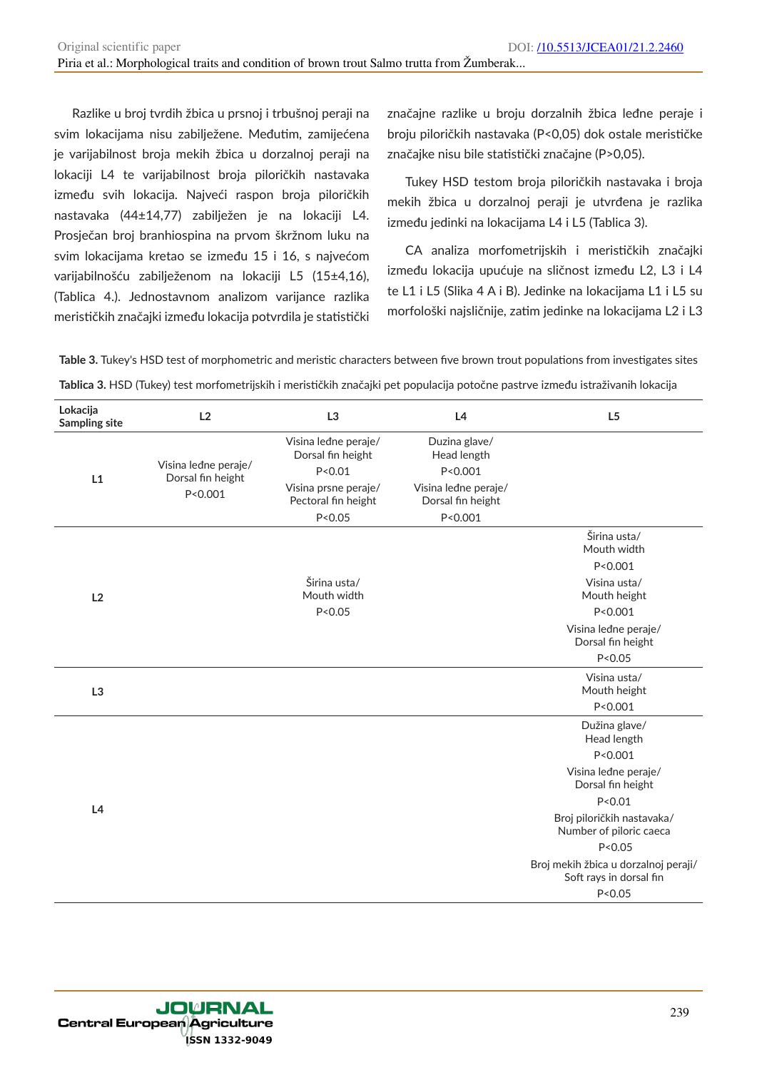Razlike u broj tvrdih žbica u prsnoj i trbušnoj peraji na svim lokacijama nisu zabilježene. Međutim, zamijećena je varijabilnost broja mekih žbica u dorzalnoj peraji na lokaciji L4 te varijabilnost broja piloričkih nastavaka između svih lokacija. Najveći raspon broja piloričkih nastavaka (44±14,77) zabilježen je na lokaciji L4. Prosječan broj branhiospina na prvom škržnom luku na svim lokacijama kretao se između 15 i 16, s najvećom varijabilnošću zabilježenom na lokaciji L5 (15±4,16), (Tablica 4.). Jednostavnom analizom varijance razlika merističkih značajki između lokacija potvrdila je statistički značajne razlike u broju dorzalnih žbica leđne peraje i broju piloričkih nastavaka (P<0,05) dok ostale merističke značajke nisu bile statistički značajne (P>0,05).

Tukey HSD testom broja piloričkih nastavaka i broja mekih žbica u dorzalnoj peraji je utvrđena je razlika između jedinki na lokacijama L4 i L5 (Tablica 3).

CA analiza morfometrijskih i merističkih značajki između lokacija upućuje na sličnost između L2, L3 i L4 te L1 i L5 (Slika 4 A i B). Jedinke na lokacijama L1 i L5 su morfološki najsličnije, zatim jedinke na lokacijama L2 i L3

**Table 3.** Tukey's HSD test of morphometric and meristic characters between five brown trout populations from investigates sites

|  | <b>Tablica 3.</b> HSD (Tukey) test morfometrijskih i merističkih značajki pet populacija potočne pastrve između istraživanih lokacija |  |  |  |  |
|--|---------------------------------------------------------------------------------------------------------------------------------------|--|--|--|--|
|  |                                                                                                                                       |  |  |  |  |

| Lokacija<br><b>Sampling site</b> | L2                           | L <sub>3</sub>                                        | L4                                        | L <sub>5</sub>                                                  |
|----------------------------------|------------------------------|-------------------------------------------------------|-------------------------------------------|-----------------------------------------------------------------|
| L1                               | Visina leđne peraje/         | Visina leđne peraje/<br>Dorsal fin height<br>P < 0.01 | Duzina glave/<br>Head length<br>P < 0.001 |                                                                 |
|                                  | Dorsal fin height<br>P<0.001 | Visina prsne peraje/<br>Pectoral fin height           | Visina ledne peraje/<br>Dorsal fin height |                                                                 |
|                                  |                              | P < 0.05                                              | P<0.001                                   |                                                                 |
|                                  |                              |                                                       |                                           | Širina usta/<br>Mouth width                                     |
|                                  |                              |                                                       |                                           | P<0.001                                                         |
| L2                               |                              | Širina usta/<br>Mouth width                           |                                           | Visina usta/<br>Mouth height                                    |
|                                  |                              | P < 0.05                                              |                                           | P < 0.001                                                       |
|                                  |                              |                                                       |                                           | Visina leđne peraje/<br>Dorsal fin height                       |
|                                  |                              |                                                       |                                           | P < 0.05                                                        |
| L <sub>3</sub>                   |                              |                                                       |                                           | Visina usta/<br>Mouth height                                    |
|                                  |                              |                                                       |                                           | P<0.001                                                         |
|                                  |                              |                                                       |                                           | Dužina glave/<br>Head length                                    |
|                                  |                              |                                                       |                                           | P < 0.001                                                       |
|                                  |                              |                                                       |                                           | Visina leđne peraje/<br>Dorsal fin height                       |
| L4                               |                              |                                                       |                                           | P < 0.01                                                        |
|                                  |                              |                                                       |                                           | Broj piloričkih nastavaka/<br>Number of piloric caeca           |
|                                  |                              |                                                       |                                           | P < 0.05                                                        |
|                                  |                              |                                                       |                                           | Broj mekih žbica u dorzalnoj peraji/<br>Soft rays in dorsal fin |
|                                  |                              |                                                       |                                           | P < 0.05                                                        |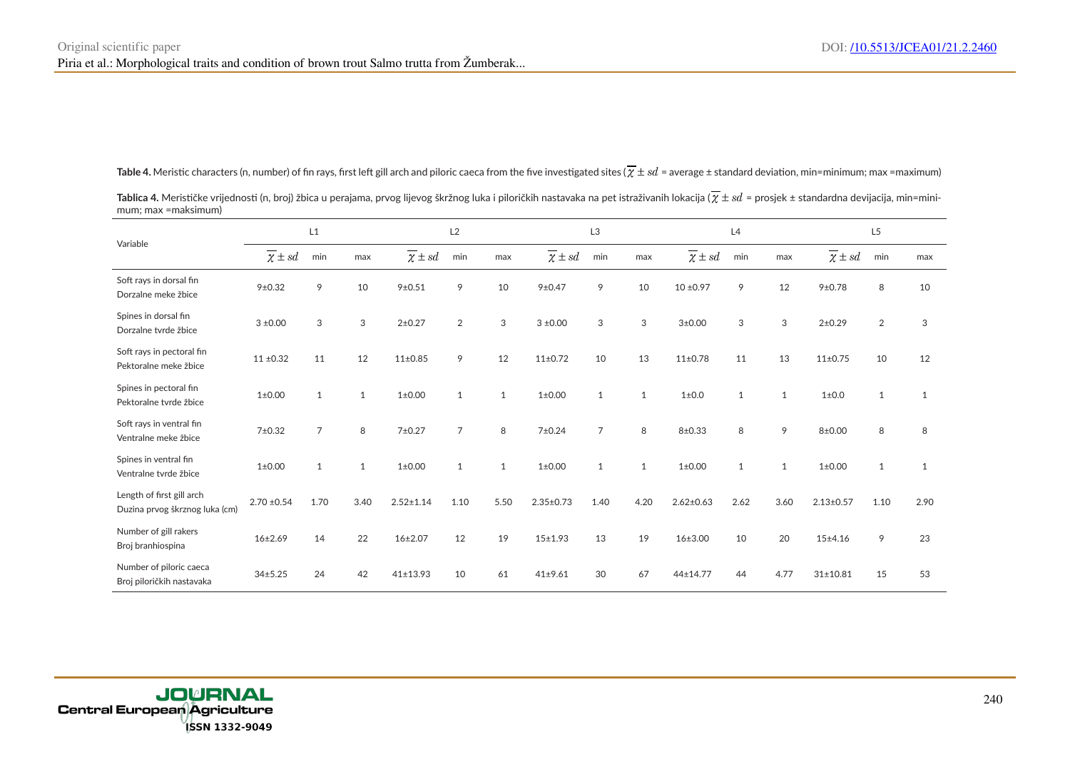**Table 4.** Meristic characters (n, number) of fin rays, first left gill arch and piloric caeca from the five investigated sites ( $\overline{\chi}$  ±  $sd$  = average ± standard deviation, min=minimum; max =maximum)

**Tablica 4.** Merističke vrijednosti (n, broj) žbica u perajama, prvog lijevog škržnog luka i piloričkih nastavaka na pet istraživanih lokacija (*|* ! *sd* = prosjek ± standardna devijacija, min=minimum; max =maksimum)

| Variable                                                    |                 | L1             |      |                 | L2             |      |                          | L <sub>3</sub> |              |                          | L4           |              |                 | L <sub>5</sub> |              |
|-------------------------------------------------------------|-----------------|----------------|------|-----------------|----------------|------|--------------------------|----------------|--------------|--------------------------|--------------|--------------|-----------------|----------------|--------------|
|                                                             | $\chi \pm sd$   | min            | max  | $\chi \pm sd$   | min            | max  | $\overline{\chi} \pm sd$ | min            | max          | $\overline{\chi} \pm sd$ | min          | max          | $\chi \pm sd$   | min            | max          |
| Soft rays in dorsal fin<br>Dorzalne meke žbice              | 9 ± 0.32        | 9              | 10   | 9 ± 0.51        | 9              | 10   | 9 ± 0.47                 | 9              | 10           | $10 \pm 0.97$            | 9            | 12           | 9 ± 0.78        | 8              | 10           |
| Spines in dorsal fin<br>Dorzalne tyrde žbice                | 3 ± 0.00        | 3              | 3    | $2 + 0.27$      | 2              | 3    | 3 ± 0.00                 | 3              | 3            | 3 ± 0.00                 | 3            | 3            | $2 + 0.29$      | 2              | 3            |
| Soft rays in pectoral fin<br>Pektoralne meke žbice          | 11 ± 0.32       | 11             | 12   | 11±0.85         | 9              | 12   | 11±0.72                  | 10             | 13           | 11±0.78                  | 11           | 13           | 11±0.75         | 10             | 12           |
| Spines in pectoral fin<br>Pektoralne tvrde žbice            | $1 \pm 0.00$    | $\mathbf{1}$   | 1    | $1\pm0.00$      | $\mathbf{1}$   | 1    | $1 \pm 0.00$             | $\mathbf{1}$   | $\mathbf{1}$ | $1\pm0.0$                | $\mathbf{1}$ | $\mathbf{1}$ | $1\pm0.0$       | 1              | $\mathbf{1}$ |
| Soft rays in ventral fin<br>Ventralne meke žbice            | 7±0.32          | $\overline{7}$ | 8    | 7±0.27          | $\overline{7}$ | 8    | 7±0.24                   | $\overline{7}$ | 8            | 8 ± 0.33                 | 8            | 9            | $8 + 0.00$      | 8              | 8            |
| Spines in ventral fin<br>Ventralne tvrde žbice              | $1\pm0.00$      | $\mathbf{1}$   | 1    | $1\pm0.00$      | $\mathbf{1}$   | 1    | $1\pm0.00$               | $\mathbf{1}$   | $\mathbf{1}$ | $1\pm0.00$               | $\mathbf{1}$ | 1            | $1\pm0.00$      | $\mathbf{1}$   | 1            |
| Length of first gill arch<br>Duzina prvog škrznog luka (cm) | $2.70 \pm 0.54$ | 1.70           | 3.40 | $2.52 \pm 1.14$ | 1.10           | 5.50 | $2.35 \pm 0.73$          | 1.40           | 4.20         | $2.62 \pm 0.63$          | 2.62         | 3.60         | $2.13 \pm 0.57$ | 1.10           | 2.90         |
| Number of gill rakers<br>Broj branhiospina                  | 16±2.69         | 14             | 22   | $16 + 2.07$     | 12             | 19   | $15 + 1.93$              | 13             | 19           | $16 + 3.00$              | 10           | 20           | 15±4.16         | 9              | 23           |
| Number of piloric caeca<br>Broj piloričkih nastavaka        | 34±5.25         | 24             | 42   | 41±13.93        | 10             | 61   | 41±9.61                  | 30             | 67           | 44±14.77                 | 44           | 4.77         | $31 \pm 10.81$  | 15             | 53           |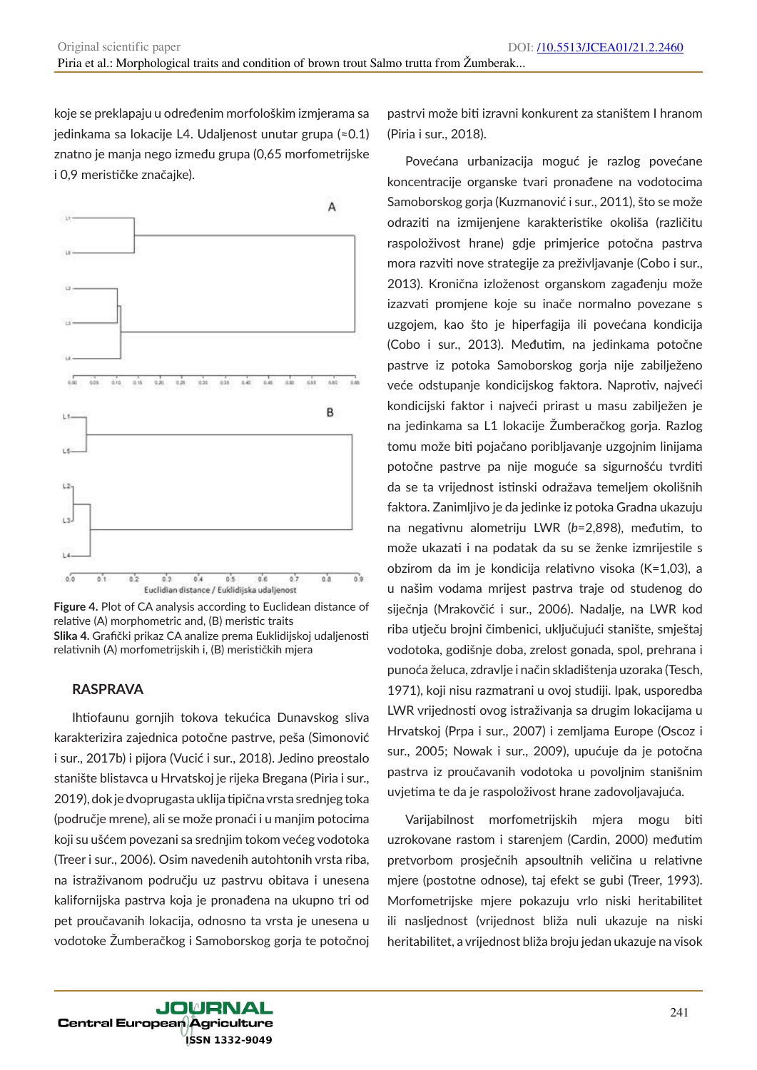koje se preklapaju u određenim morfološkim izmjerama sa jedinkama sa lokacije L4. Udaljenost unutar grupa (≈0.1) znatno je manja nego između grupa (0,65 morfometrijske i 0,9 merističke značajke).



**Figure 4.** Plot of CA analysis according to Euclidean distance of relative (A) morphometric and, (B) meristic traits **Slika 4.** Grafički prikaz CA analize prema Euklidijskoj udaljenosti relativnih (A) morfometrijskih i, (B) merističkih mjera

#### **RASPRAVA**

Ihtiofaunu gornjih tokova tekućica Dunavskog sliva karakterizira zajednica potočne pastrve, peša (Simonović i sur., 2017b) i pijora (Vucić i sur., 2018). Jedino preostalo stanište blistavca u Hrvatskoj je rijeka Bregana (Piria i sur., 2019), dok je dvoprugasta uklija tipična vrsta srednjeg toka (područje mrene), ali se može pronaći i u manjim potocima koji su ušćem povezani sa srednjim tokom većeg vodotoka (Treer i sur., 2006). Osim navedenih autohtonih vrsta riba, na istraživanom području uz pastrvu obitava i unesena kalifornijska pastrva koja je pronađena na ukupno tri od pet proučavanih lokacija, odnosno ta vrsta je unesena u vodotoke Žumberačkog i Samoborskog gorja te potočnoj

pastrvi može biti izravni konkurent za staništem I hranom (Piria i sur., 2018).

Povećana urbanizacija moguć je razlog povećane koncentracije organske tvari pronađene na vodotocima Samoborskog gorja (Kuzmanović i sur., 2011), što se može odraziti na izmijenjene karakteristike okoliša (različitu raspoloživost hrane) gdje primjerice potočna pastrva mora razviti nove strategije za preživljavanje (Cobo i sur., 2013). Kronična izloženost organskom zagađenju može izazvati promjene koje su inače normalno povezane s uzgojem, kao što je hiperfagija ili povećana kondicija (Cobo i sur., 2013). Međutim, na jedinkama potočne pastrve iz potoka Samoborskog gorja nije zabilježeno veće odstupanje kondicijskog faktora. Naprotiv, najveći kondicijski faktor i najveći prirast u masu zabilježen je na jedinkama sa L1 lokacije Žumberačkog gorja. Razlog tomu može biti pojačano poribljavanje uzgojnim linijama potočne pastrve pa nije moguće sa sigurnošću tvrditi da se ta vrijednost istinski odražava temeljem okolišnih faktora. Zanimljivo je da jedinke iz potoka Gradna ukazuju na negativnu alometriju LWR (*b*=2,898), međutim, to može ukazati i na podatak da su se ženke izmrijestile s obzirom da im je kondicija relativno visoka (K=1,03), a u našim vodama mrijest pastrva traje od studenog do siječnja (Mrakovčić i sur., 2006). Nadalje, na LWR kod riba utječu brojni čimbenici, uključujući stanište, smještaj vodotoka, godišnje doba, zrelost gonada, spol, prehrana i punoća želuca, zdravlje i način skladištenja uzoraka (Tesch, 1971), koji nisu razmatrani u ovoj studiji. Ipak, usporedba LWR vrijednosti ovog istraživanja sa drugim lokacijama u Hrvatskoj (Prpa i sur., 2007) i zemljama Europe (Oscoz i sur., 2005; Nowak i sur., 2009), upućuje da je potočna pastrva iz proučavanih vodotoka u povoljnim stanišnim uvjetima te da je raspoloživost hrane zadovoljavajuća.

Varijabilnost morfometrijskih mjera mogu biti uzrokovane rastom i starenjem (Cardin, 2000) međutim pretvorbom prosječnih apsoultnih veličina u relativne mjere (postotne odnose), taj efekt se gubi (Treer, 1993). Morfometrijske mjere pokazuju vrlo niski heritabilitet ili nasljednost (vrijednost bliža nuli ukazuje na niski heritabilitet, a vrijednost bliža broju jedan ukazuje na visok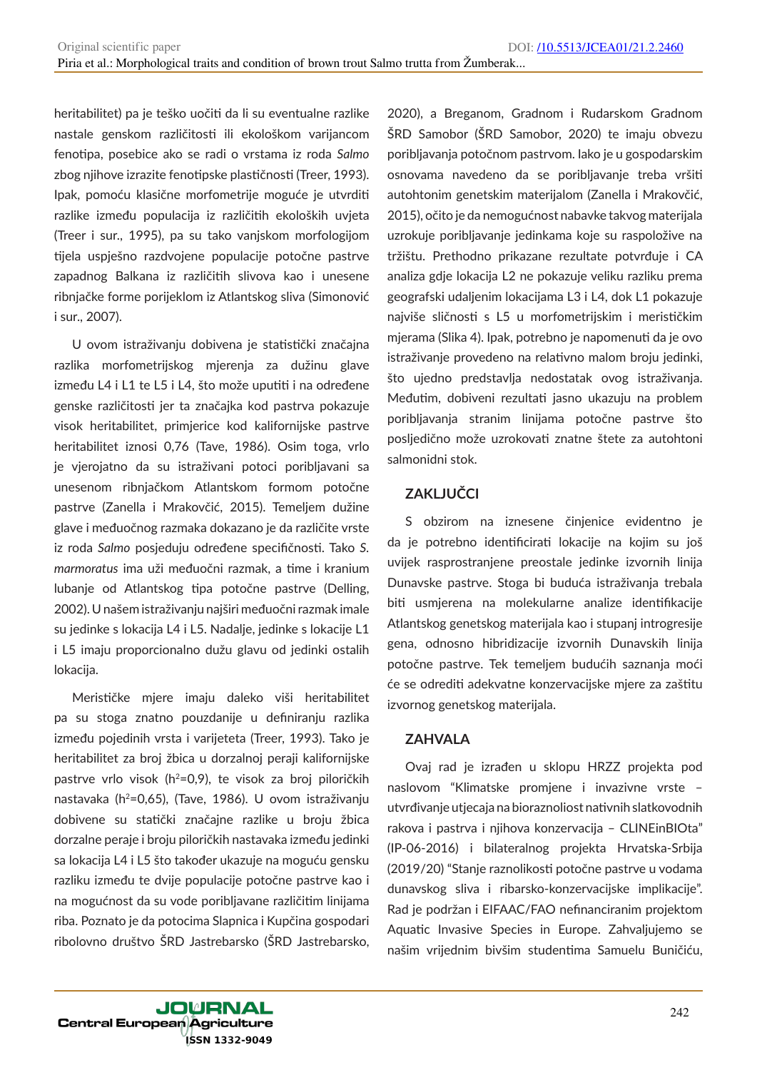heritabilitet) pa je teško uočiti da li su eventualne razlike nastale genskom različitosti ili ekološkom varijancom fenotipa, posebice ako se radi o vrstama iz roda *Salmo*  zbog njihove izrazite fenotipske plastičnosti (Treer, 1993). Ipak, pomoću klasične morfometrije moguće je utvrditi razlike između populacija iz različitih ekoloških uvjeta (Treer i sur., 1995), pa su tako vanjskom morfologijom tijela uspješno razdvojene populacije potočne pastrve zapadnog Balkana iz različitih slivova kao i unesene ribnjačke forme porijeklom iz Atlantskog sliva (Simonović i sur., 2007).

U ovom istraživanju dobivena je statistički značajna razlika morfometrijskog mjerenja za dužinu glave između L4 i L1 te L5 i L4, što može uputiti i na određene genske različitosti jer ta značajka kod pastrva pokazuje visok heritabilitet, primjerice kod kalifornijske pastrve heritabilitet iznosi 0,76 (Tave, 1986). Osim toga, vrlo je vjerojatno da su istraživani potoci poribljavani sa unesenom ribnjačkom Atlantskom formom potočne pastrve (Zanella i Mrakovčić, 2015). Temeljem dužine glave i međuočnog razmaka dokazano je da različite vrste iz roda *Salmo* posjeduju određene specifičnosti. Tako *S. marmoratus* ima uži međuočni razmak, a time i kranium lubanje od Atlantskog tipa potočne pastrve (Delling, 2002). U našem istraživanju najširi međuočni razmak imale su jedinke s lokacija L4 i L5. Nadalje, jedinke s lokacije L1 i L5 imaju proporcionalno dužu glavu od jedinki ostalih lokacija.

Merističke mjere imaju daleko viši heritabilitet pa su stoga znatno pouzdanije u definiranju razlika između pojedinih vrsta i varijeteta (Treer, 1993). Tako je heritabilitet za broj žbica u dorzalnoj peraji kalifornijske pastrve vrlo visok (h<sup>2</sup>=0,9), te visok za broj piloričkih nastavaka (h<sup>2</sup>=0,65), (Tave, 1986). U ovom istraživanju dobivene su statički značajne razlike u broju žbica dorzalne peraje i broju piloričkih nastavaka između jedinki sa lokacija L4 i L5 što također ukazuje na moguću gensku razliku između te dvije populacije potočne pastrve kao i na mogućnost da su vode poribljavane različitim linijama riba. Poznato je da potocima Slapnica i Kupčina gospodari ribolovno društvo ŠRD Jastrebarsko (ŠRD Jastrebarsko,

2020), a Breganom, Gradnom i Rudarskom Gradnom ŠRD Samobor (ŠRD Samobor, 2020) te imaju obvezu poribljavanja potočnom pastrvom. Iako je u gospodarskim osnovama navedeno da se poribljavanje treba vršiti autohtonim genetskim materijalom (Zanella i Mrakovčić, 2015), očito je da nemogućnost nabavke takvog materijala uzrokuje poribljavanje jedinkama koje su raspoložive na tržištu. Prethodno prikazane rezultate potvrđuje i CA analiza gdje lokacija L2 ne pokazuje veliku razliku prema geografski udaljenim lokacijama L3 i L4, dok L1 pokazuje najviše sličnosti s L5 u morfometrijskim i merističkim mjerama (Slika 4). Ipak, potrebno je napomenuti da je ovo istraživanje provedeno na relativno malom broju jedinki, što ujedno predstavlja nedostatak ovog istraživanja. Međutim, dobiveni rezultati jasno ukazuju na problem poribljavanja stranim linijama potočne pastrve što posljedično može uzrokovati znatne štete za autohtoni salmonidni stok.

# **ZAKLJUČCI**

S obzirom na iznesene činjenice evidentno je da je potrebno identificirati lokacije na kojim su još uvijek rasprostranjene preostale jedinke izvornih linija Dunavske pastrve. Stoga bi buduća istraživanja trebala biti usmjerena na molekularne analize identifikacije Atlantskog genetskog materijala kao i stupanj introgresije gena, odnosno hibridizacije izvornih Dunavskih linija potočne pastrve. Tek temeljem budućih saznanja moći će se odrediti adekvatne konzervacijske mjere za zaštitu izvornog genetskog materijala.

## **ZAHVALA**

Ovaj rad je izrađen u sklopu HRZZ projekta pod naslovom "Klimatske promjene i invazivne vrste – utvrđivanje utjecaja na bioraznoliost nativnih slatkovodnih rakova i pastrva i njihova konzervacija – CLINEinBIOta" (IP-06-2016) i bilateralnog projekta Hrvatska-Srbija (2019/20) "Stanje raznolikosti potočne pastrve u vodama dunavskog sliva i ribarsko-konzervacijske implikacije". Rad je podržan i EIFAAC/FAO nefinanciranim projektom Aquatic Invasive Species in Europe. Zahvaljujemo se našim vrijednim bivšim studentima Samuelu Buničiću,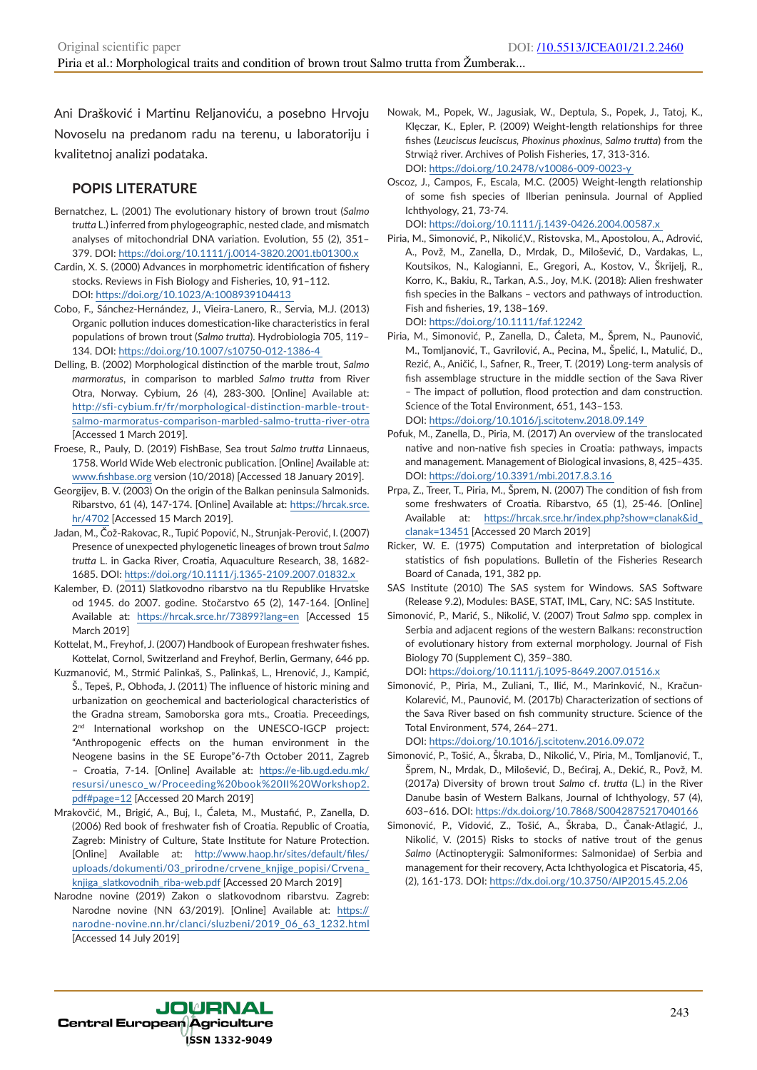Ani Drašković i Martinu Reljanoviću, a posebno Hrvoju Novoselu na predanom radu na terenu, u laboratoriju i kvalitetnoj analizi podataka.

## **POPIS LITERATURE**

- Bernatchez, L. (2001) The evolutionary history of brown trout (*Salmo trutta* L.) inferred from phylogeographic, nested clade, and mismatch analyses of mitochondrial DNA variation. Evolution, 55 (2), 351– 379. DOI: https://doi.org/10.1111/j.0014-3820.2001.tb01300.x
- Cardin, X. S. (2000) Advances in morphometric identification of fishery stocks. Reviews in Fish Biology and Fisheries, 10, 91–112. DOI: https://doi.org/10.1023/A:1008939104413
- Cobo, F., Sánchez-Hernández, J., Vieira-Lanero, R., Servia, M.J. (2013) Organic pollution induces domestication-like characteristics in feral populations of brown trout (*Salmo trutta*). Hydrobiologia 705, 119– 134. DOI: https://doi.org/10.1007/s10750-012-1386-4
- Delling, B. (2002) Morphological distinction of the marble trout, *Salmo marmoratus*, in comparison to marbled *Salmo trutta* from River Otra, Norway. Cybium, 26 (4), 283-300. [Online] Available at: http://sfi-cybium.fr/fr/morphological-distinction-marble-troutsalmo-marmoratus-comparison-marbled-salmo-trutta-river-otra [Accessed 1 March 2019].
- Froese, R., Pauly, D. (2019) FishBase, Sea trout *Salmo trutta* Linnaeus, 1758. World Wide Web electronic publication. [Online] Available at: www.fishbase.org version (10/2018) [Accessed 18 January 2019].
- Georgijev, B. V. (2003) On the origin of the Balkan peninsula Salmonids. Ribarstvo, 61 (4), 147-174. [Online] Available at: https://hrcak.srce. hr/4702 [Accessed 15 March 2019].
- Jadan, M., Čož-Rakovac, R., Tupić Popović, N., Strunjak-Perović, I. (2007) Presence of unexpected phylogenetic lineages of brown trout *Salmo trutta* L. in Gacka River, Croatia, Aquaculture Research, 38, 1682- 1685. DOI: https://doi.org/10.1111/j.1365-2109.2007.01832.x
- Kalember, Đ. (2011) Slatkovodno ribarstvo na tlu Republike Hrvatske od 1945. do 2007. godine. Stočarstvo 65 (2), 147-164. [Online] Available at: https://hrcak.srce.hr/73899?lang=en [Accessed 15 March 2019]
- Kottelat, M., Freyhof, J. (2007) Handbook of European freshwater fishes. Kottelat, Cornol, Switzerland and Freyhof, Berlin, Germany, 646 pp.
- Kuzmanović, M., Strmić Palinkaš, S., Palinkaš, L., Hrenović, J., Kampić, Š., Tepeš, P., Obhođa, J. (2011) The influence of historic mining and urbanization on geochemical and bacteriological characteristics of the Gradna stream, Samoborska gora mts., Croatia. Preceedings, 2<sup>nd</sup> International workshop on the UNESCO-IGCP project: "Anthropogenic effects on the human environment in the Neogene basins in the SE Europe"6-7th October 2011, Zagreb – Croatia, 7-14. [Online] Available at: https://e-lib.ugd.edu.mk/ resursi/unesco\_w/Proceeding%20book%20II%20Workshop2. pdf#page=12 [Accessed 20 March 2019]
- Mrakovčić, M., Brigić, A., Buj, I., Ćaleta, M., Mustafić, P., Zanella, D. (2006) Red book of freshwater fish of Croatia. Republic of Croatia, Zagreb: Ministry of Culture, State Institute for Nature Protection. [Online] Available at: http://www.haop.hr/sites/default/files/ uploads/dokumenti/03\_prirodne/crvene\_knjige\_popisi/Crvena\_ knjiga\_slatkovodnih\_riba-web.pdf [Accessed 20 March 2019]
- Narodne novine (2019) Zakon o slatkovodnom ribarstvu. Zagreb: Narodne novine (NN 63/2019). [Online] Available at: https:// narodne-novine.nn.hr/clanci/sluzbeni/2019\_06\_63\_1232.html [Accessed 14 July 2019]
- Nowak, M., Popek, W., Jagusiak, W., Deptula, S., Popek, J., Tatoj, K., Klęczar, K., Epler, P. (2009) Weight-length relationships for three fishes (*Leuciscus leuciscus, Phoxinus phoxinus, Salmo trutta*) from the Strwiąż river. Archives of Polish Fisheries, 17, 313-316. DOI: https://doi.org/10.2478/v10086-009-0023-y
- Oscoz, J., Campos, F., Escala, M.C. (2005) Weight-length relationship of some fish species of Ilberian peninsula. Journal of Applied Ichthyology, 21, 73-74. DOI: https://doi.org/10.1111/j.1439-0426.2004.00587.x
- Piria, M., Simonović, P., Nikolić,V., Ristovska, M., Apostolou, A., Adrović, A., Povž, M., Zanella, D., Mrdak, D., Milošević, D., Vardakas, L., Koutsikos, N., Kalogianni, E., Gregori, A., Kostov, V., Škrijelj, R., Korro, K., Bakiu, R., Tarkan, A.S., Joy, M.K. (2018): Alien freshwater fish species in the Balkans – vectors and pathways of introduction. Fish and fisheries, 19, 138–169.

DOI: https://doi.org/10.1111/faf.12242

- Piria, M., Simonović, P., Zanella, D., Ćaleta, M., Šprem, N., Paunović, M., Tomljanović, T., Gavrilović, A., Pecina, M., Špelić, I., Matulić, D., Rezić, A., Aničić, I., Safner, R., Treer, T. (2019) Long-term analysis of fish assemblage structure in the middle section of the Sava River – The impact of pollution, flood protection and dam construction. Science of the Total Environment, 651, 143–153. DOI: https://doi.org/10.1016/j.scitotenv.2018.09.149
- Pofuk, M., Zanella, D., Piria, M. (2017) An overview of the translocated native and non-native fish species in Croatia: pathways, impacts and management. Management of Biological invasions, 8, 425–435. DOI: https://doi.org/10.3391/mbi.2017.8.3.16
- Prpa, Z., Treer, T., Piria, M., Šprem, N. (2007) The condition of fish from some freshwaters of Croatia. Ribarstvo, 65 (1), 25-46. [Online] Available at: https://hrcak.srce.hr/index.php?show=clanak&id\_ clanak=13451 [Accessed 20 March 2019]
- Ricker, W. E. (1975) Computation and interpretation of biological statistics of fish populations. Bulletin of the Fisheries Research Board of Canada, 191, 382 pp.
- SAS Institute (2010) The SAS system for Windows. SAS Software (Release 9.2), Modules: BASE, STAT, IML, Cary, NC: SAS Institute.
- Simonović, P., Marić, S., Nikolić, V. (2007) Trout *Salmo* spp. complex in Serbia and adjacent regions of the western Balkans: reconstruction of evolutionary history from external morphology. Journal of Fish Biology 70 (Supplement C), 359–380. DOI: https://doi.org/10.1111/j.1095-8649.2007.01516.x
- Simonović, P., Piria, M., Zuliani, T., Ilić, M., Marinković, N., Kračun-Kolarević, M., Paunović, M. (2017b) Characterization of sections of the Sava River based on fish community structure. Science of the Total Environment, 574, 264–271.

DOI: https://doi.org/10.1016/j.scitotenv.2016.09.072

- Simonović, P., Tošić, A., Škraba, D., Nikolić, V., Piria, M., Tomljanović, T., Šprem, N., Mrdak, D., Milošević, D., Bećiraj, A., Dekić, R., Povž, M. (2017a) Diversity of brown trout *Salmo* cf. *trutta* (L.) in the River Danube basin of Western Balkans, Journal of Ichthyology, 57 (4), 603–616. DOI: https://dx.doi.org/10.7868/S0042875217040166
- Simonović, P., Vidović, Z., Tošić, A., Škraba, D., Čanak-Atlagić, J., Nikolić, V. (2015) Risks to stocks of native trout of the genus *Salmo* (Actinopterygii: Salmoniformes: Salmonidae) of Serbia and management for their recovery, Acta Ichthyologica et Piscatoria, 45, (2), 161-173. DOI: https://dx.doi.org/10.3750/AIP2015.45.2.06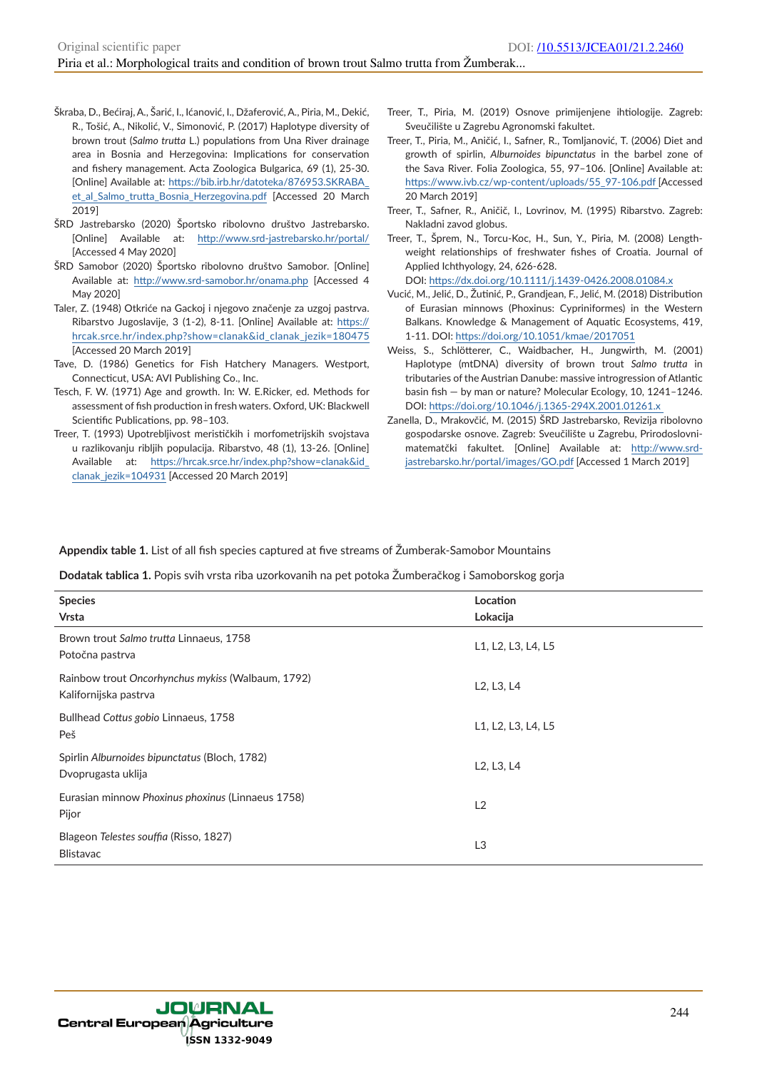- Škraba, D., Bećiraj, A., Šarić, I., Ićanović, I., Džaferović, A., Piria, M., Dekić, R., Tošić, A., Nikolić, V., Simonović, P. (2017) Haplotype diversity of brown trout (*Salmo trutta* L.) populations from Una River drainage area in Bosnia and Herzegovina: Implications for conservation and fishery management. Acta Zoologica Bulgarica, 69 (1), 25-30. [Online] Available at: https://bib.irb.hr/datoteka/876953.SKRABA\_ et\_al\_Salmo\_trutta\_Bosnia\_Herzegovina.pdf [Accessed 20 March 2019]
- ŠRD Jastrebarsko (2020) Športsko ribolovno društvo Jastrebarsko. [Online] Available at: http://www.srd-jastrebarsko.hr/portal/ [Accessed 4 May 2020]
- ŠRD Samobor (2020) Športsko ribolovno društvo Samobor. [Online] Available at: http://www.srd-samobor.hr/onama.php [Accessed 4 May 2020]
- Taler, Z. (1948) Otkriće na Gackoj i njegovo značenje za uzgoj pastrva. Ribarstvo Jugoslavije, 3 (1-2), 8-11. [Online] Available at: https:// hrcak.srce.hr/index.php?show=clanak&id\_clanak\_jezik=180475 [Accessed 20 March 2019]
- Tave, D. (1986) Genetics for Fish Hatchery Managers. Westport, Connecticut, USA: AVI Publishing Co., Inc.
- Tesch, F. W. (1971) Age and growth. In: W. E.Ricker, ed. Methods for assessment of fish production in fresh waters. Oxford, UK: Blackwell Scientific Publications, pp. 98–103.
- Treer, T. (1993) Upotrebljivost merističkih i morfometrijskih svojstava u razlikovanju ribljih populacija. Ribarstvo, 48 (1), 13-26. [Online] Available at: https://hrcak.srce.hr/index.php?show=clanak&id\_ clanak\_jezik=104931 [Accessed 20 March 2019]
- Treer, T., Piria, M. (2019) Osnove primijenjene ihtiologije. Zagreb: Sveučilište u Zagrebu Agronomski fakultet.
- Treer, T., Piria, M., Aničić, I., Safner, R., Tomljanović, T. (2006) Diet and growth of spirlin, *Alburnoides bipunctatus* in the barbel zone of the Sava River. Folia Zoologica, 55, 97–106. [Online] Available at: https://www.ivb.cz/wp-content/uploads/55\_97-106.pdf [Accessed 20 March 2019]
- Treer, T., Safner, R., Aničič, I., Lovrinov, M. (1995) Ribarstvo. Zagreb: Nakladni zavod globus.
- Treer, T., Šprem, N., Torcu-Koc, H., Sun, Y., Piria, M. (2008) Lengthweight relationships of freshwater fishes of Croatia. Journal of Applied Ichthyology, 24, 626-628.

DOI: https://dx.doi.org/10.1111/j.1439-0426.2008.01084.x

- Vucić, M., Jelić, D., Žutinić, P., Grandjean, F., Jelić, M. (2018) Distribution of Eurasian minnows (Phoxinus: Cypriniformes) in the Western Balkans. Knowledge & Management of Aquatic Ecosystems, 419, 1-11. DOI: https://doi.org/10.1051/kmae/2017051
- Weiss, S., Schlötterer, C., Waidbacher, H., Jungwirth, M. (2001) Haplotype (mtDNA) diversity of brown trout *Salmo trutta* in tributaries of the Austrian Danube: massive introgression of Atlantic basin fish — by man or nature? Molecular Ecology, 10, 1241–1246. DOI: https://doi.org/10.1046/j.1365-294X.2001.01261.x
- Zanella, D., Mrakovčić, M. (2015) ŠRD Jastrebarsko, Revizija ribolovno gospodarske osnove. Zagreb: Sveučilište u Zagrebu, Prirodoslovnimatematčki fakultet. [Online] Available at: http://www.srdjastrebarsko.hr/portal/images/GO.pdf [Accessed 1 March 2019]

**Appendix table 1.** List of all fish species captured at five streams of Žumberak-Samobor Mountains

**Dodatak tablica 1.** Popis svih vrsta riba uzorkovanih na pet potoka Žumberačkog i Samoborskog gorja

| <b>Species</b>                                                             | Location                                         |
|----------------------------------------------------------------------------|--------------------------------------------------|
| <b>Vrsta</b>                                                               | Lokacija                                         |
| Brown trout Salmo trutta Linnaeus, 1758<br>Potočna pastrva                 | L1, L2, L3, L4, L5                               |
| Rainbow trout Oncorhynchus mykiss (Walbaum, 1792)<br>Kalifornijska pastrva | L <sub>2</sub> , L <sub>3</sub> , L <sub>4</sub> |
| Bullhead Cottus gobio Linnaeus, 1758<br>Peš                                | L1, L2, L3, L4, L5                               |
| Spirlin Alburnoides bipunctatus (Bloch, 1782)<br>Dvoprugasta uklija        | L <sub>2</sub> , L <sub>3</sub> , L <sub>4</sub> |
| Eurasian minnow Phoxinus phoxinus (Linnaeus 1758)<br>Pijor                 | L2                                               |
| Blageon Telestes souffia (Risso, 1827)<br><b>Blistavac</b>                 | L <sub>3</sub>                                   |